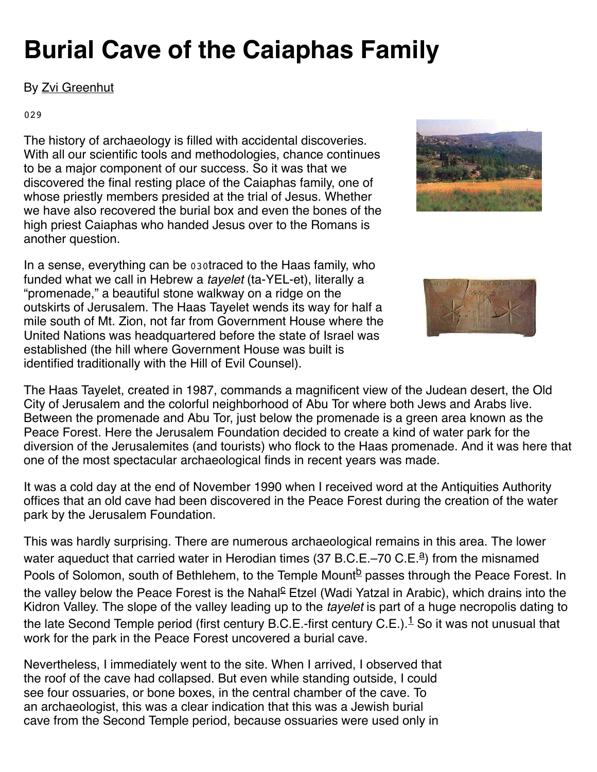# **Burial Cave of the Caiaphas Family**

## By [Zvi Greenhut](https://members.bib-arch.org/authors/zvi-greenhut)

#### 029

The history of archaeology is filled with accidental discoveries. With all our scientific tools and methodologies, chance continues to be a major component of our success. So it was that we discovered the final resting place of the Caiaphas family, one of whose priestly members presided at the trial of Jesus. Whether we have also recovered the burial box and even the bones of the high priest Caiaphas who handed Jesus over to the Romans is another question.

In a sense, everything can be 030traced to the Haas family, who funded what we call in Hebrew a *tayelet* (ta-YEL-et), literally a "promenade," a beautiful stone walkway on a ridge on the outskirts of Jerusalem. The Haas Tayelet wends its way for half a mile south of Mt. Zion, not far from Government House where the United Nations was headquartered before the state of Israel was established (the hill where Government House was built is identified traditionally with the Hill of Evil Counsel).





The Haas Tayelet, created in 1987, commands a magnificent view of the Judean desert, the Old City of Jerusalem and the colorful neighborhood of Abu Tor where both Jews and Arabs live. Between the promenade and Abu Tor, just below the promenade is a green area known as the Peace Forest. Here the Jerusalem Foundation decided to create a kind of water park for the diversion of the Jerusalemites (and tourists) who flock to the Haas promenade. And it was here that one of the most spectacular archaeological finds in recent years was made.

It was a cold day at the end of November 1990 when I received word at the Antiquities Authority offices that an old cave had been discovered in the Peace Forest during the creation of the water park by the Jerusalem Foundation.

This was hardly surprising. There are numerous archaeological remains in this area. The lower w[a](https://members.bib-arch.org/biblical-archaeology-review/18/5/1/fn/1?width=600)ter aqueduct that carried water in Herodian times (37 B.C.E.–70 C.E.<sup>a</sup>) from the misnamed Pools of Solomon, south of Bethlehem, to the Temple Mount<sup>[b](https://members.bib-arch.org/biblical-archaeology-review/18/5/1/fn/2?width=600)</sup> passes through the Peace Forest. In the valley below the Pea[c](https://members.bib-arch.org/biblical-archaeology-review/18/5/1/fn/3?width=600)e Forest is the Nahal<sup><u>c</u></sup> Etzel (Wadi Yatzal in Arabic), which drains into the Kidron Valley. The slope of the valley leading up to the *tayelet* is part of a huge necropolis dating to the late Second Temple period (first century B.C.E.-first century C.E.). $^1$  $^1$  So it was not unusual that work for the park in the Peace Forest uncovered a burial cave.

Nevertheless, I immediately went to the site. When I arrived, I observed that the roof of the cave had collapsed. But even while standing outside, I could see four ossuaries, or bone boxes, in the central chamber of the cave. To an archaeologist, this was a clear indication that this was a Jewish burial cave from the Second Temple period, because ossuaries were used only in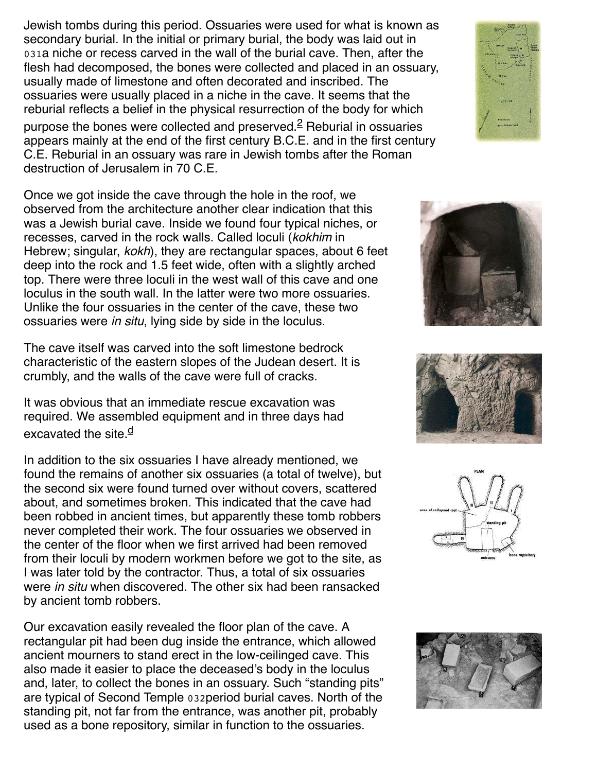Jewish tombs during this period. Ossuaries were used for what is known as secondary burial. In the initial or primary burial, the body was laid out in 031a niche or recess carved in the wall of the burial cave. Then, after the flesh had decomposed, the bones were collected and placed in an ossuary, usually made of limestone and often decorated and inscribed. The ossuaries were usually placed in a niche in the cave. It seems that the reburial reflects a belief in the physical resurrection of the body for which purpose the bones were collected and preserved.<sup>[2](https://members.bib-arch.org/biblical-archaeology-review/18/5/1/en/2?width=600)</sup> Reburial in ossuaries appears mainly at the end of the first century B.C.E. and in the first century C.E. Reburial in an ossuary was rare in Jewish tombs after the Roman destruction of Jerusalem in 70 C.E.

Once we got inside the cave through the hole in the roof, we observed from the architecture another clear indication that this was a Jewish burial cave. Inside we found four typical niches, or recesses, carved in the rock walls. Called loculi (kokhim in Hebrew; singular, kokh), they are rectangular spaces, about 6 feet deep into the rock and 1.5 feet wide, often with a slightly arched top. There were three loculi in the west wall of this cave and one loculus in the south wall. In the latter were two more ossuaries. Unlike the four ossuaries in the center of the cave, these two ossuaries were in situ, lying side by side in the loculus.

The cave itself was carved into the soft limestone bedrock characteristic of the eastern slopes of the Judean desert. It is crumbly, and the walls of the cave were full of cracks.

It was obvious that an immediate rescue excavation was required. We assembled equipment and in three days had excavate[d](https://members.bib-arch.org/biblical-archaeology-review/18/5/1/fn/4?width=600) the site. $\frac{d}{dx}$ 

In addition to the six ossuaries I have already mentioned, we found the remains of another six ossuaries (a total of twelve), but the second six were found turned over without covers, scattered about, and sometimes broken. This indicated that the cave had been robbed in ancient times, but apparently these tomb robbers never completed their work. The four ossuaries we observed in the center of the floor when we first arrived had been removed from their loculi by modern workmen before we got to the site, as I was later told by the contractor. Thus, a total of six ossuaries were *in situ* when discovered. The other six had been ransacked by ancient tomb robbers.

Our excavation easily revealed the floor plan of the cave. A rectangular pit had been dug inside the entrance, which allowed ancient mourners to stand erect in the low-ceilinged cave. This also made it easier to place the deceased's body in the loculus and, later, to collect the bones in an ossuary. Such "standing pits" are typical of Second Temple 032period burial caves. North of the standing pit, not far from the entrance, was another pit, probably used as a bone repository, similar in function to the ossuaries.









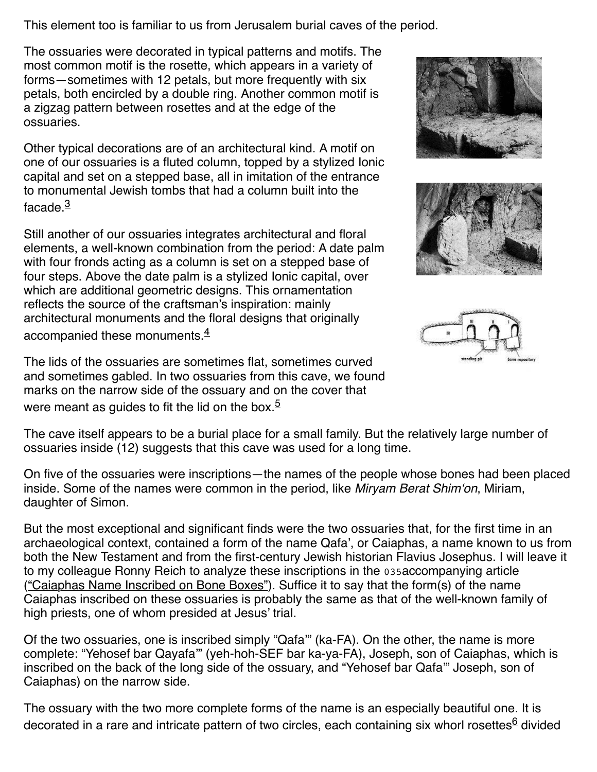This element too is familiar to us from Jerusalem burial caves of the period.

The ossuaries were decorated in typical patterns and motifs. The most common motif is the rosette, which appears in a variety of forms—sometimes with 12 petals, but more frequently with six petals, both encircled by a double ring. Another common motif is a zigzag pattern between rosettes and at the edge of the ossuaries.

Other typical decorations are of an architectural kind. A motif on one of our ossuaries is a fluted column, topped by a stylized Ionic capital and set on a stepped base, all in imitation of the entrance to monumental Jewish tombs that had a column built into the facade $\frac{3}{2}$  $\frac{3}{2}$  $\frac{3}{2}$ 

Still another of our ossuaries integrates architectural and floral elements, a well-known combination from the period: A date palm with four fronds acting as a column is set on a stepped base of four steps. Above the date palm is a stylized Ionic capital, over which are additional geometric designs. This ornamentation reflects the source of the craftsman's inspiration: mainly architectural monuments and the floral designs that originally accompanied these monuments.<sup>[4](https://members.bib-arch.org/biblical-archaeology-review/18/5/1/en/4?width=600)</sup>

The lids of the ossuaries are sometimes flat, sometimes curved and sometimes gabled. In two ossuaries from this cave, we found marks on the narrow side of the ossuary and on the cover that were meant as guides to fit the lid on the box. $5$ 



The cave itself appears to be a burial place for a small family. But the relatively large number of ossuaries inside (12) suggests that this cave was used for a long time.

On five of the ossuaries were inscriptions—the names of the people whose bones had been placed inside. Some of the names were common in the period, like Miryam Berat Shim'on, Miriam, daughter of Simon.

But the most exceptional and significant finds were the two ossuaries that, for the first time in an archaeological context, contained a form of the name Qafa', or Caiaphas, a name known to us from both the New Testament and from the first-century Jewish historian Flavius Josephus. I will leave it to my colleague Ronny Reich to analyze these inscriptions in the 035accompanying article (["Caiaphas Name Inscribed on Bone Boxes"\)](https://members.bib-arch.org/biblical-archaeology-review/18/5/2). Suffice it to say that the form(s) of the name Caiaphas inscribed on these ossuaries is probably the same as that of the well-known family of high priests, one of whom presided at Jesus' trial.

Of the two ossuaries, one is inscribed simply "Qafa'" (ka-FA). On the other, the name is more complete: "Yehosef bar Qayafa'" (yeh-hoh-SEF bar ka-ya-FA), Joseph, son of Caiaphas, which is inscribed on the back of the long side of the ossuary, and "Yehosef bar Qafa'" Joseph, son of Caiaphas) on the narrow side.

The ossuary with the two more complete forms of the name is an especially beautiful one. It is decorated in a rare and intricate pattern of two circles, each containing six whorl rosettes<sup>[6](https://members.bib-arch.org/biblical-archaeology-review/18/5/1/en/6?width=600)</sup> divided





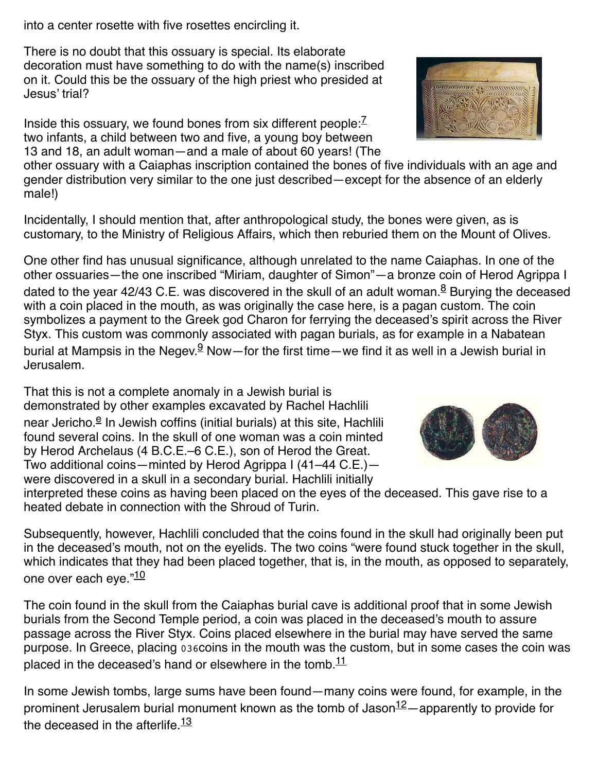into a center rosette with five rosettes encircling it.

There is no doubt that this ossuary is special. Its elaborate decoration must have something to do with the name(s) inscribed on it. Could this be the ossuary of the high priest who presided at Jesus' trial?

Inside this ossuary, we found bones from six different people: $\frac{7}{1}$  $\frac{7}{1}$  $\frac{7}{1}$ two infants, a child between two and five, a young boy between 13 and 18, an adult woman—and a male of about 60 years! (The

other ossuary with a Caiaphas inscription contained the bones of five individuals with an age and gender distribution very similar to the one just described—except for the absence of an elderly male!)

Incidentally, I should mention that, after anthropological study, the bones were given, as is customary, to the Ministry of Religious Affairs, which then reburied them on the Mount of Olives.

One other find has unusual significance, although unrelated to the name Caiaphas. In one of the other ossuaries—the one inscribed "Miriam, daughter of Simon"—a bronze coin of Herod Agrippa I dated to the year 42/43 C.E. was discovered in the skull of an adult woman.<sup>[8](https://members.bib-arch.org/biblical-archaeology-review/18/5/1/en/8?width=600)</sup> Burying the deceased with a coin placed in the mouth, as was originally the case here, is a pagan custom. The coin symbolizes a payment to the Greek god Charon for ferrying the deceased's spirit across the River Styx. This custom was commonly associated with pagan burials, as for example in a Nabatean burial at Mampsis in the Negev.<sup>[9](https://members.bib-arch.org/biblical-archaeology-review/18/5/1/en/9?width=600)</sup> Now—for the first time—we find it as well in a Jewish burial in Jerusalem.

That this is not a complete anomaly in a Jewish burial is demonstrated by other examples excavated by Rachel Hachlili n[e](https://members.bib-arch.org/biblical-archaeology-review/18/5/1/fn/5?width=600)ar Jericho.<sup><u>e</u></sup> In Jewish coffins (initial burials) at this site, Hachlili found several coins. In the skull of one woman was a coin minted by Herod Archelaus (4 B.C.E.–6 C.E.), son of Herod the Great. Two additional coins—minted by Herod Agrippa I (41–44 C.E.) were discovered in a skull in a secondary burial. Hachlili initially

interpreted these coins as having been placed on the eyes of the deceased. This gave rise to a heated debate in connection with the Shroud of Turin.

Subsequently, however, Hachlili concluded that the coins found in the skull had originally been put in the deceased's mouth, not on the eyelids. The two coins "were found stuck together in the skull, which indicates that they had been placed together, that is, in the mouth, as opposed to separately, one over each eye."<sup>[10](https://members.bib-arch.org/biblical-archaeology-review/18/5/1/en/10?width=600)</sup>

The coin found in the skull from the Caiaphas burial cave is additional proof that in some Jewish burials from the Second Temple period, a coin was placed in the deceased's mouth to assure passage across the River Styx. Coins placed elsewhere in the burial may have served the same purpose. In Greece, placing 036coins in the mouth was the custom, but in some cases the coin was placed in the deceased's hand or elsewhere in the tomb. $11$ 

In some Jewish tombs, large sums have been found—many coins were found, for example, in the prominent Jerusalem burial monument known as the tomb of Jason $12 12-$ apparently to provide for the deceased in the afterlife. $13$ 



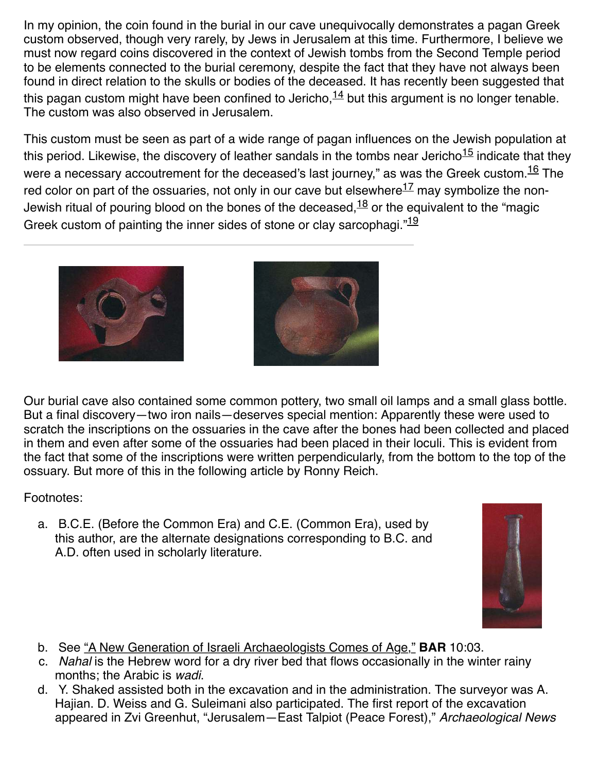In my opinion, the coin found in the burial in our cave unequivocally demonstrates a pagan Greek custom observed, though very rarely, by Jews in Jerusalem at this time. Furthermore, I believe we must now regard coins discovered in the context of Jewish tombs from the Second Temple period to be elements connected to the burial ceremony, despite the fact that they have not always been found in direct relation to the skulls or bodies of the deceased. It has recently been suggested that this pagan custom might have been confined to Jericho,  $14$  but this argument is no longer tenable. The custom was also observed in Jerusalem.

This custom must be seen as part of a wide range of pagan influences on the Jewish population at this period. Likewise, the discovery of leather sandals in the tombs near Jericho $15$  indicate that they were a necessary accoutrement for the deceased's last journey," as was the Greek custom.<sup>[16](https://members.bib-arch.org/biblical-archaeology-review/18/5/1/en/16?width=600)</sup> The red color on part of the ossuaries, not only in our cave but elsewhere $^{17}$  $^{17}$  $^{17}$  may symbolize the non-Jewish ritual of pouring blood on the bones of the deceased,  $18$  or the equivalent to the "magic Greek custom of painting the inner sides of stone or clay sarcophagi. $19$ 





Our burial cave also contained some common pottery, two small oil lamps and a small glass bottle. But a final discovery—two iron nails—deserves special mention: Apparently these were used to scratch the inscriptions on the ossuaries in the cave after the bones had been collected and placed in them and even after some of the ossuaries had been placed in their loculi. This is evident from the fact that some of the inscriptions were written perpendicularly, from the bottom to the top of the ossuary. But more of this in the following article by Ronny Reich.

### Footnotes:

a. B.C.E. (Before the Common Era) and C.E. (Common Era), used by this author, are the alternate designations corresponding to B.C. and A.D. often used in scholarly literature.



- b. See ["A New Generation of Israeli Archaeologists Comes of Age,"](https://members.bib-arch.org/biblical-archaeology-review/10/3/3) **BAR** 10:03.
- c. Nahal is the Hebrew word for a dry river bed that flows occasionally in the winter rainy months; the Arabic is wadi.
- d. Y. Shaked assisted both in the excavation and in the administration. The surveyor was A. Hajian. D. Weiss and G. Suleimani also participated. The first report of the excavation appeared in Zvi Greenhut, "Jerusalem—East Talpiot (Peace Forest)," Archaeological News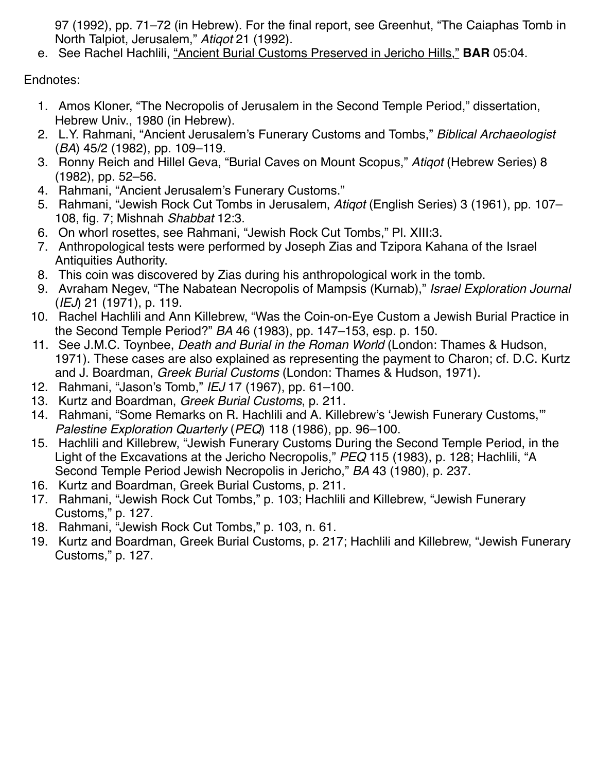97 (1992), pp. 71–72 (in Hebrew). For the final report, see Greenhut, "The Caiaphas Tomb in North Talpiot, Jerusalem," Atiqot 21 (1992).

e. See Rachel Hachlili, ["Ancient Burial Customs Preserved in Jericho Hills,"](https://members.bib-arch.org/biblical-archaeology-review/5/4/2) **BAR** 05:04.

Endnotes:

- 1. Amos Kloner, "The Necropolis of Jerusalem in the Second Temple Period," dissertation, Hebrew Univ., 1980 (in Hebrew).
- 2. L.Y. Rahmani, "Ancient Jerusalem's Funerary Customs and Tombs," Biblical Archaeologist (BA) 45/2 (1982), pp. 109–119.
- 3. Ronny Reich and Hillel Geva, "Burial Caves on Mount Scopus," Atiqot (Hebrew Series) 8 (1982), pp. 52–56.
- 4. Rahmani, "Ancient Jerusalem's Funerary Customs."
- 5. Rahmani, "Jewish Rock Cut Tombs in Jerusalem, Atigot (English Series) 3 (1961), pp. 107– 108, fig. 7; Mishnah Shabbat 12:3.
- 6. On whorl rosettes, see Rahmani, "Jewish Rock Cut Tombs," Pl. XIII:3.
- 7. Anthropological tests were performed by Joseph Zias and Tzipora Kahana of the Israel Antiquities Authority.
- 8. This coin was discovered by Zias during his anthropological work in the tomb.
- 9. Avraham Negev, "The Nabatean Necropolis of Mampsis (Kurnab)," Israel Exploration Journal (IEJ) 21 (1971), p. 119.
- 10. Rachel Hachlili and Ann Killebrew, "Was the Coin-on-Eye Custom a Jewish Burial Practice in the Second Temple Period?" BA 46 (1983), pp. 147–153, esp. p. 150.
- 11. See J.M.C. Toynbee, Death and Burial in the Roman World (London: Thames & Hudson, 1971). These cases are also explained as representing the payment to Charon; cf. D.C. Kurtz and J. Boardman, Greek Burial Customs (London: Thames & Hudson, 1971).
- 12. Rahmani, "Jason's Tomb," IEJ 17 (1967), pp. 61–100.
- 13. Kurtz and Boardman, Greek Burial Customs, p. 211.
- 14. Rahmani, "Some Remarks on R. Hachlili and A. Killebrew's 'Jewish Funerary Customs,'" Palestine Exploration Quarterly (PEQ) 118 (1986), pp. 96–100.
- 15. Hachlili and Killebrew, "Jewish Funerary Customs During the Second Temple Period, in the Light of the Excavations at the Jericho Necropolis," PEQ 115 (1983), p. 128; Hachlili, "A Second Temple Period Jewish Necropolis in Jericho," BA 43 (1980), p. 237.
- 16. Kurtz and Boardman, Greek Burial Customs, p. 211.
- 17. Rahmani, "Jewish Rock Cut Tombs," p. 103; Hachlili and Killebrew, "Jewish Funerary Customs," p. 127.
- 18. Rahmani, "Jewish Rock Cut Tombs," p. 103, n. 61.
- 19. Kurtz and Boardman, Greek Burial Customs, p. 217; Hachlili and Killebrew, "Jewish Funerary Customs," p. 127.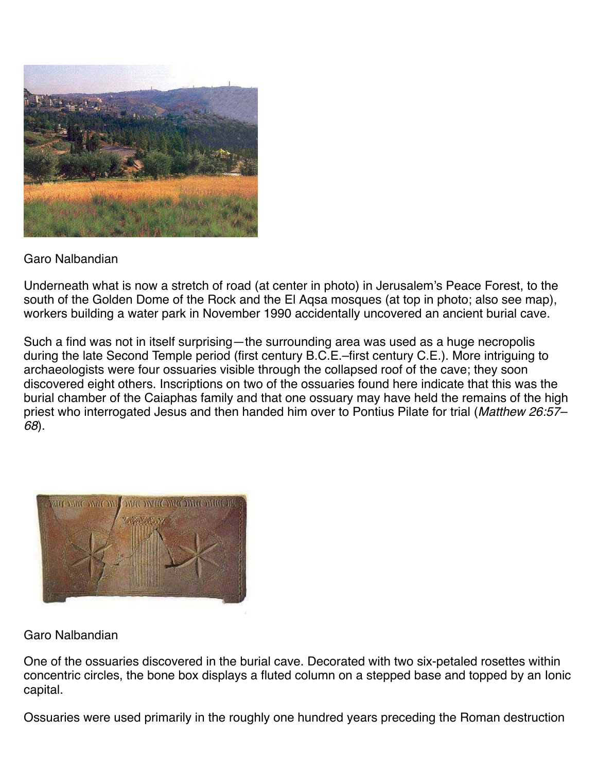

Garo Nalbandian

Underneath what is now a stretch of road (at center in photo) in Jerusalem's Peace Forest, to the south of the Golden Dome of the Rock and the El Aqsa mosques (at top in photo; also see map), workers building a water park in November 1990 accidentally uncovered an ancient burial cave.

Such a find was not in itself surprising—the surrounding area was used as a huge necropolis during the late Second Temple period (first century B.C.E.–first century C.E.). More intriguing to archaeologists were four ossuaries visible through the collapsed roof of the cave; they soon discovered eight others. Inscriptions on two of the ossuaries found here indicate that this was the burial chamber of the Caiaphas family and that one ossuary may have held the remains of the high priest who interrogated Jesus and then handed him over to Pontius Pilate for trial (Matthew 26:57-68).



### Garo Nalbandian

One of the ossuaries discovered in the burial cave. Decorated with two six-petaled rosettes within concentric circles, the bone box displays a fluted column on a stepped base and topped by an Ionic capital.

Ossuaries were used primarily in the roughly one hundred years preceding the Roman destruction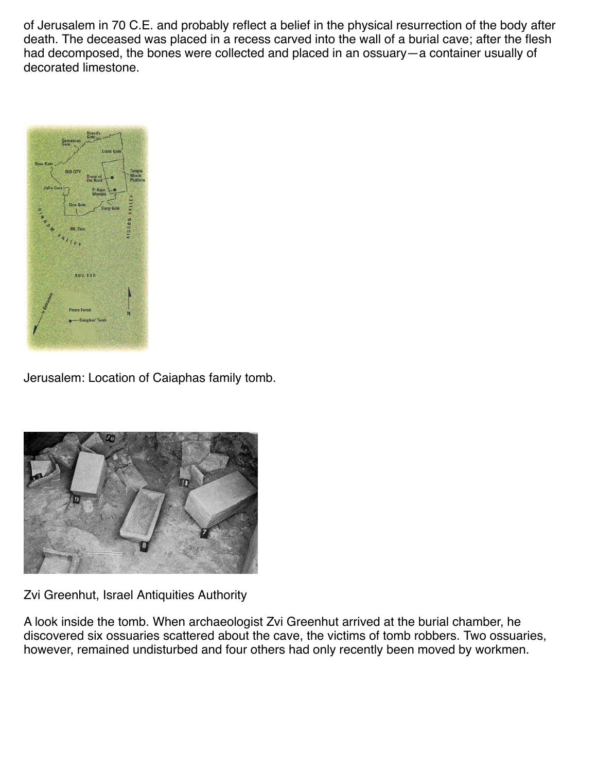of Jerusalem in 70 C.E. and probably reflect a belief in the physical resurrection of the body after death. The deceased was placed in a recess carved into the wall of a burial cave; after the flesh had decomposed, the bones were collected and placed in an ossuary—a container usually of decorated limestone.



Jerusalem: Location of Caiaphas family tomb.



Zvi Greenhut, Israel Antiquities Authority

A look inside the tomb. When archaeologist Zvi Greenhut arrived at the burial chamber, he discovered six ossuaries scattered about the cave, the victims of tomb robbers. Two ossuaries, however, remained undisturbed and four others had only recently been moved by workmen.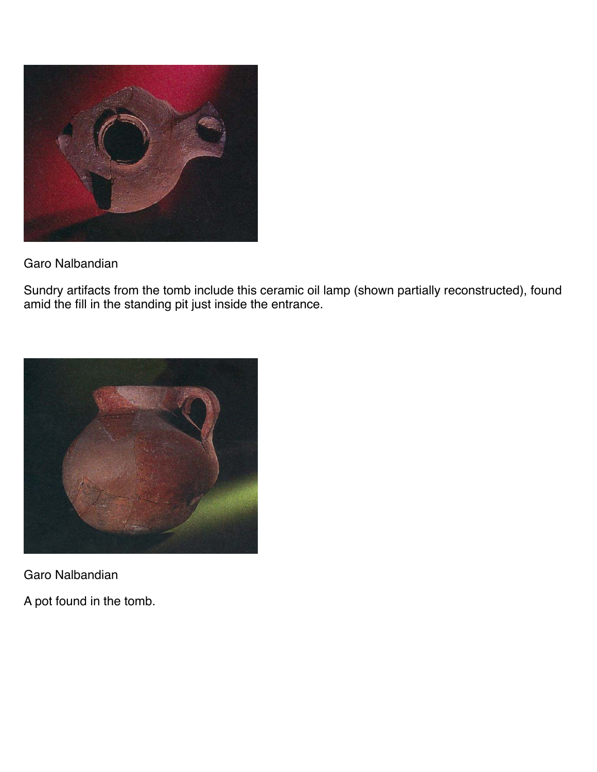

Garo Nalbandian

Sundry artifacts from the tomb include this ceramic oil lamp (shown partially reconstructed), found amid the fill in the standing pit just inside the entrance.



Garo Nalbandian

A pot found in the tomb.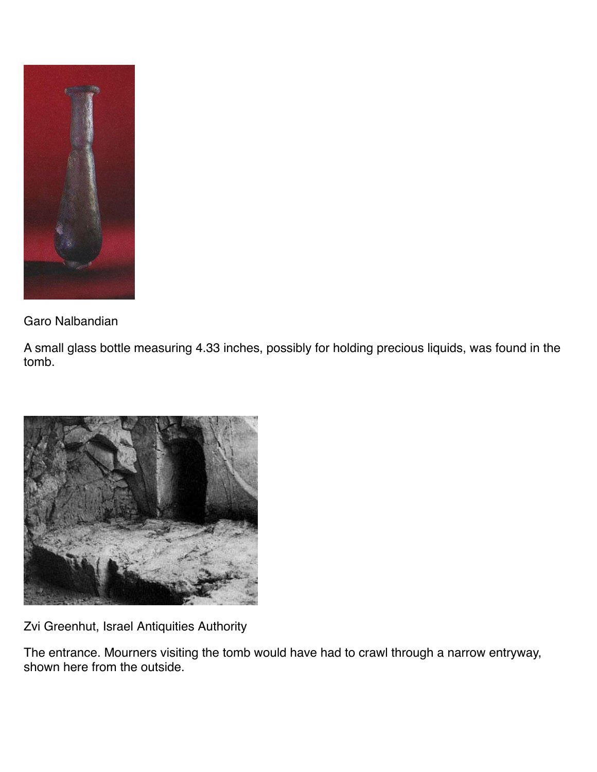

Garo Nalbandian

A small glass bottle measuring 4.33 inches, possibly for holding precious liquids, was found in the tomb.



Zvi Greenhut, Israel Antiquities Authority

The entrance. Mourners visiting the tomb would have had to crawl through a narrow entryway, shown here from the outside.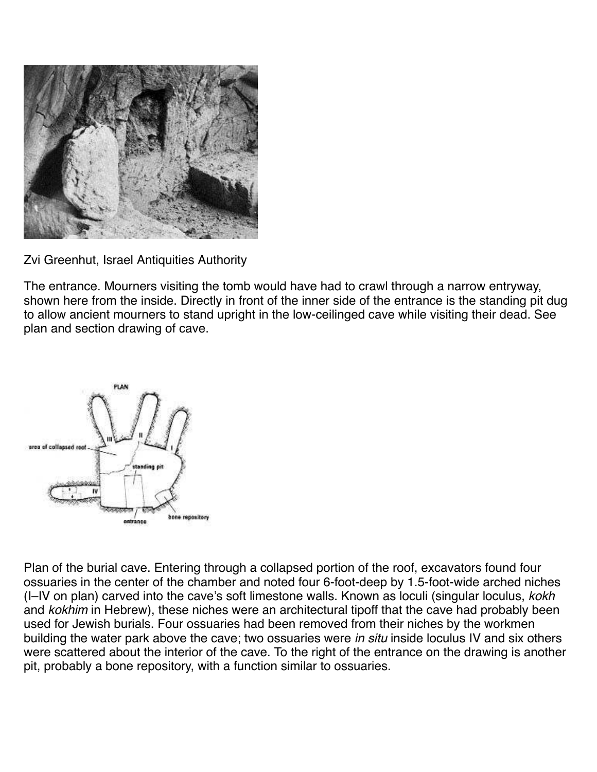

Zvi Greenhut, Israel Antiquities Authority

The entrance. Mourners visiting the tomb would have had to crawl through a narrow entryway, shown here from the inside. Directly in front of the inner side of the entrance is the standing pit dug to allow ancient mourners to stand upright in the low-ceilinged cave while visiting their dead. See plan and section drawing of cave.



Plan of the burial cave. Entering through a collapsed portion of the roof, excavators found four ossuaries in the center of the chamber and noted four 6-foot-deep by 1.5-foot-wide arched niches (I–IV on plan) carved into the cave's soft limestone walls. Known as loculi (singular loculus, kokh and kokhim in Hebrew), these niches were an architectural tipoff that the cave had probably been used for Jewish burials. Four ossuaries had been removed from their niches by the workmen building the water park above the cave; two ossuaries were in situ inside loculus IV and six others were scattered about the interior of the cave. To the right of the entrance on the drawing is another pit, probably a bone repository, with a function similar to ossuaries.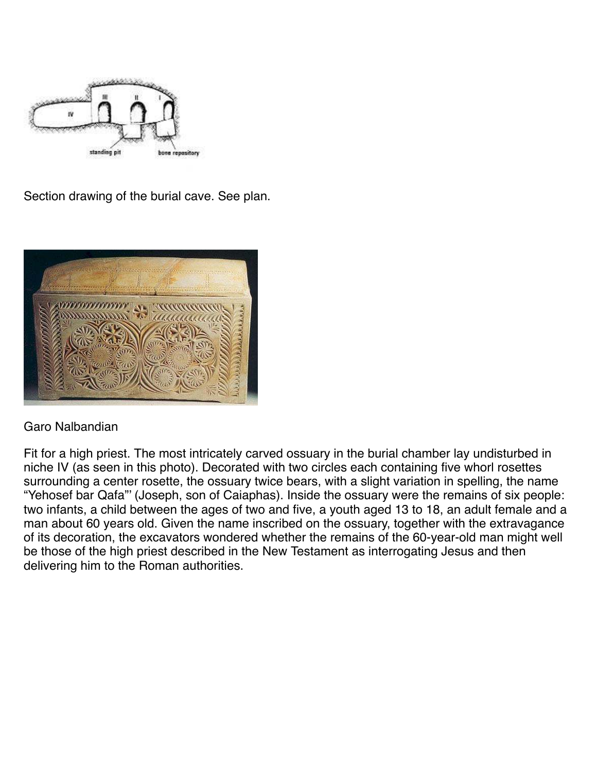

Section drawing of the burial cave. See plan.



#### Garo Nalbandian

Fit for a high priest. The most intricately carved ossuary in the burial chamber lay undisturbed in niche IV (as seen in this photo). Decorated with two circles each containing five whorl rosettes surrounding a center rosette, the ossuary twice bears, with a slight variation in spelling, the name "Yehosef bar Qafa"' (Joseph, son of Caiaphas). Inside the ossuary were the remains of six people: two infants, a child between the ages of two and five, a youth aged 13 to 18, an adult female and a man about 60 years old. Given the name inscribed on the ossuary, together with the extravagance of its decoration, the excavators wondered whether the remains of the 60-year-old man might well be those of the high priest described in the New Testament as interrogating Jesus and then delivering him to the Roman authorities.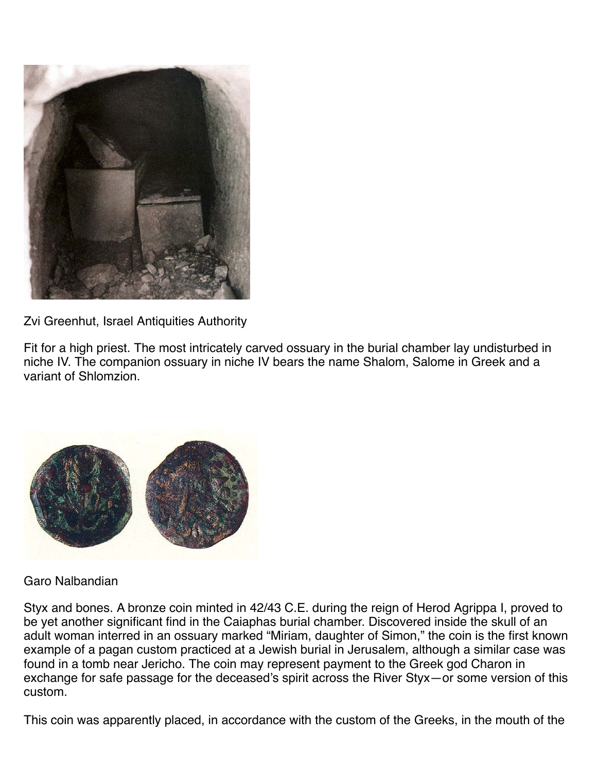

Zvi Greenhut, Israel Antiquities Authority

Fit for a high priest. The most intricately carved ossuary in the burial chamber lay undisturbed in niche IV. The companion ossuary in niche IV bears the name Shalom, Salome in Greek and a variant of Shlomzion.



### Garo Nalbandian

Styx and bones. A bronze coin minted in 42/43 C.E. during the reign of Herod Agrippa I, proved to be yet another significant find in the Caiaphas burial chamber. Discovered inside the skull of an adult woman interred in an ossuary marked "Miriam, daughter of Simon," the coin is the first known example of a pagan custom practiced at a Jewish burial in Jerusalem, although a similar case was found in a tomb near Jericho. The coin may represent payment to the Greek god Charon in exchange for safe passage for the deceased's spirit across the River Styx—or some version of this custom.

This coin was apparently placed, in accordance with the custom of the Greeks, in the mouth of the